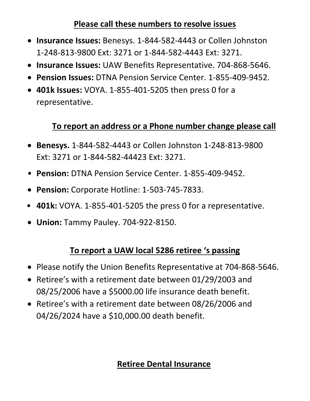#### **Please call these numbers to resolve issues**

- **Insurance Issues:** Benesys. 1-844-582-4443 or Collen Johnston 1-248-813-9800 Ext: 3271 or 1-844-582-4443 Ext: 3271.
- **Insurance Issues:** UAW Benefits Representative. 704-868-5646.
- **Pension Issues:** DTNA Pension Service Center. 1-855-409-9452.
- **401k Issues:** VOYA. 1-855-401-5205 then press 0 for a representative.

#### **To report an address or a Phone number change please call**

- **Benesys.** 1-844-582-4443 or Collen Johnston 1-248-813-9800 Ext: 3271 or 1-844-582-44423 Ext: 3271.
- **Pension:** DTNA Pension Service Center. 1-855-409-9452.
- **Pension:** Corporate Hotline: 1-503-745-7833.
- **401k:** VOYA. 1-855-401-5205 the press 0 for a representative.
- **Union:** Tammy Pauley. 704-922-8150.

## **To report a UAW local 5286 retiree 's passing**

- Please notify the Union Benefits Representative at 704-868-5646.
- Retiree's with a retirement date between 01/29/2003 and 08/25/2006 have a \$5000.00 life insurance death benefit.
- Retiree's with a retirement date between 08/26/2006 and 04/26/2024 have a \$10,000.00 death benefit.

## **Retiree Dental Insurance**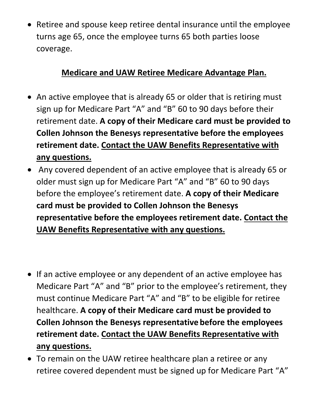• Retiree and spouse keep retiree dental insurance until the employee turns age 65, once the employee turns 65 both parties loose coverage.

## **Medicare and UAW Retiree Medicare Advantage Plan.**

- An active employee that is already 65 or older that is retiring must sign up for Medicare Part "A" and "B" 60 to 90 days before their retirement date. **A copy of their Medicare card must be provided to Collen Johnson the Benesys representative before the employees retirement date. Contact the UAW Benefits Representative with any questions.**
- Any covered dependent of an active employee that is already 65 or older must sign up for Medicare Part "A" and "B" 60 to 90 days before the employee's retirement date. **A copy of their Medicare card must be provided to Collen Johnson the Benesys representative before the employees retirement date. Contact the UAW Benefits Representative with any questions.**
- If an active employee or any dependent of an active employee has Medicare Part "A" and "B" prior to the employee's retirement, they must continue Medicare Part "A" and "B" to be eligible for retiree healthcare. **A copy of their Medicare card must be provided to Collen Johnson the Benesys representative before the employees retirement date. Contact the UAW Benefits Representative with any questions.**
- To remain on the UAW retiree healthcare plan a retiree or any retiree covered dependent must be signed up for Medicare Part "A"